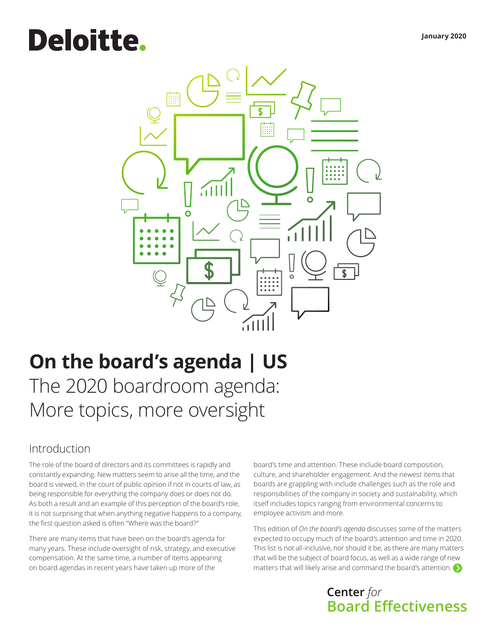# **Deloitte.**



# **On the board's agenda | US**

The 2020 boardroom agenda: More topics, more oversight

### Introduction

The role of the board of directors and its committees is rapidly and constantly expanding. New matters seem to arise all the time, and the board is viewed, in the court of public opinion if not in courts of law, as being responsible for everything the company does or does not do. As both a result and an example of this perception of the board's role, it is not surprising that when anything negative happens to a company, the first question asked is often "Where was the board?"

There are many items that have been on the board's agenda for many years. These include oversight of risk, strategy, and executive compensation. At the same time, a number of items appearing on board agendas in recent years have taken up more of the

board's time and attention. These include board composition, culture, and shareholder engagement. And the newest items that boards are grappling with include challenges such as the role and responsibilities of the company in society and sustainability, which itself includes topics ranging from environmental concerns to employee activism and more.

This edition of *On the board's agenda* discusses some of the matters expected to occupy much of the board's attention and time in 2020. This list is not all-inclusive, nor should it be, as there are many matters that will be the subject of board focus, as well as a wide range of new matters that will likely arise and command the board's attention[.](#page-1-0)  $\bigcirc$ 

# **Center** *for* **Board Effectiveness**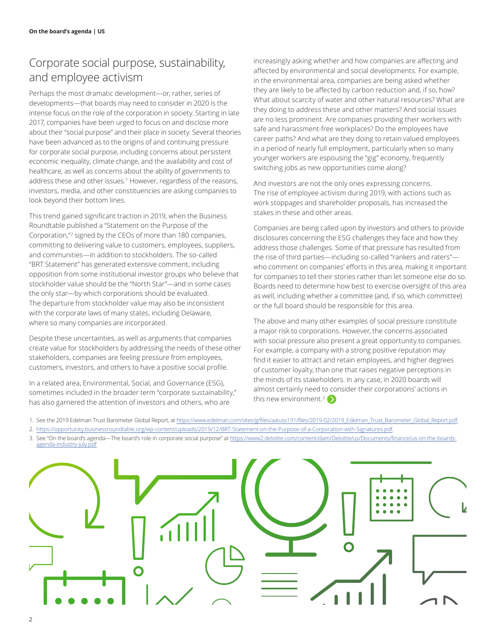# <span id="page-1-0"></span>Corporate social purpose, sustainability, and employee activism

Perhaps the most dramatic development―or, rather, series of developments―that boards may need to consider in 2020 is the intense focus on the role of the corporation in society. Starting in late 2017, companies have been urged to focus on and disclose more about their "social purpose" and their place in society. Several theories have been advanced as to the origins of and continuing pressure for corporate social purpose, including concerns about persistent economic inequality, climate change, and the availability and cost of healthcare, as well as concerns about the ability of governments to address these and other issues.<sup>1</sup> However, regardless of the reasons, investors, media, and other constituencies are asking companies to look beyond their bottom lines.

This trend gained significant traction in 2019, when the Business Roundtable published a "Statement on the Purpose of the Corporation,"<sup>2</sup> signed by the CEOs of more than 180 companies, committing to delivering value to customers, employees, suppliers, and communities―in addition to stockholders. The so-called "BRT Statement" has generated extensive comment, including opposition from some institutional investor groups who believe that stockholder value should be the "North Star"―and in some cases the only star―by which corporations should be evaluated. The departure from stockholder value may also be inconsistent with the corporate laws of many states, including Delaware, where so many companies are incorporated.

Despite these uncertainties, as well as arguments that companies create value for stockholders by addressing the needs of these other stakeholders, companies are feeling pressure from employees, customers, investors, and others to have a positive social profile.

In a related area, Environmental, Social, and Governance (ESG), sometimes included in the broader term "corporate sustainability," has also garnered the attention of investors and others, who are

increasingly asking whether and how companies are affecting and affected by environmental and social developments. For example, in the environmental area, companies are being asked whether they are likely to be affected by carbon reduction and, if so, how? What about scarcity of water and other natural resources? What are they doing to address these and other matters? And social issues are no less prominent. Are companies providing their workers with safe and harassment-free workplaces? Do the employees have career paths? And what are they doing to retain valued employees in a period of nearly full employment, particularly when so many younger workers are espousing the "gig" economy, frequently switching jobs as new opportunities come along?

And investors are not the only ones expressing concerns. The rise of employee activism during 2019, with actions such as work stoppages and shareholder proposals, has increased the stakes in these and other areas.

Companies are being called upon by investors and others to provide disclosures concerning the ESG challenges they face and how they address those challenges. Some of that pressure has resulted from the rise of third parties―including so-called "rankers and raters"― who comment on companies' efforts in this area, making it important for companies to tell their stories rather than let someone else do so. Boards need to determine how best to exercise oversight of this area as well, including whether a committee (and, if so, which committee) or the full board should be responsible for this area.

The above and many other examples of social pressure constitute a major risk to corporations. However, the concerns associated with social pressure also present a great opportunity to companies. For example, a company with a strong positive reputation may find it easier to attract and retain employees, and higher degrees of customer loyalty, than one that raises negative perceptions in the minds of its stakeholders. In any case, in 2020 boards will almost certainly need to consider their corporations' actions in this new environment.<sup>3</sup>

- 1. See the 2019 Edelman Trust Barometer Global Report, at https://www.edelman.com/sites/g/files/aatuss191/files/2019-02/2019\_Edelman\_Trust\_Barometer\_Global\_Report.pdf.
- 2. https://opportunity.businessroundtable.org/wp-content/uploads/2019/12/BRT-Statement-on-the-Purpose-of-a-Corporation-with-Signatures.pdf.
- 3. See "On the board's agenda—The board's role in corporate social purpose" at [https://www2.deloitte.com/content/dam/Deloitte/us/Documents/finance/us-on-the-boards](https://www2.deloitte.com/content/dam/Deloitte/us/Documents/finance/us-on-the-boards-agenda-industry-july.pdf)[agenda-industry-july.pdf](https://www2.deloitte.com/content/dam/Deloitte/us/Documents/finance/us-on-the-boards-agenda-industry-july.pdf)

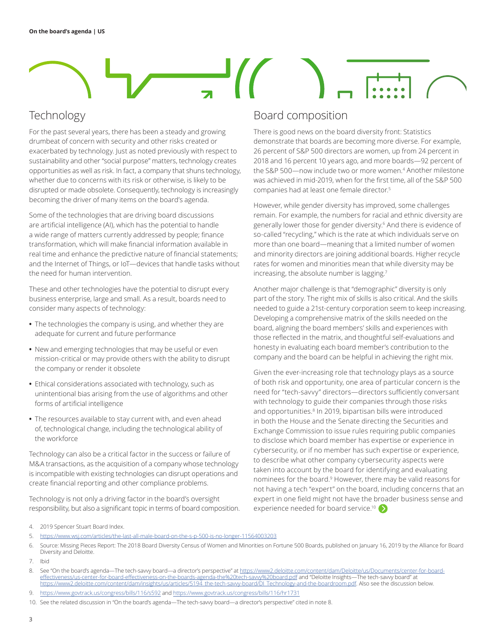### Technology

For the past several years, there has been a steady and growing drumbeat of concern with security and other risks created or exacerbated by technology. Just as noted previously with respect to sustainability and other "social purpose" matters, technology creates opportunities as well as risk. In fact, a company that shuns technology, whether due to concerns with its risk or otherwise, is likely to be disrupted or made obsolete. Consequently, technology is increasingly becoming the driver of many items on the board's agenda.

Some of the technologies that are driving board discussions are artificial intelligence (AI), which has the potential to handle a wide range of matters currently addressed by people; finance transformation, which will make financial information available in real time and enhance the predictive nature of financial statements; and the Internet of Things, or IoT―devices that handle tasks without the need for human intervention.

These and other technologies have the potential to disrupt every business enterprise, large and small. As a result, boards need to consider many aspects of technology:

- **•** The technologies the company is using, and whether they are adequate for current and future performance
- **•** New and emerging technologies that may be useful or even mission-critical or may provide others with the ability to disrupt the company or render it obsolete
- **•** Ethical considerations associated with technology, such as unintentional bias arising from the use of algorithms and other forms of artificial intelligence
- **•** The resources available to stay current with, and even ahead of, technological change, including the technological ability of the workforce

Technology can also be a critical factor in the success or failure of M&A transactions, as the acquisition of a company whose technology is incompatible with existing technologies can disrupt operations and create financial reporting and other compliance problems.

Technology is not only a driving factor in the board's oversight responsibility, but also a significant topic in terms of board composition.

#### Board composition

There is good news on the board diversity front: Statistics demonstrate that boards are becoming more diverse. For example, 26 percent of S&P 500 directors are women, up from 24 percent in 2018 and 16 percent 10 years ago, and more boards―92 percent of the S&P 500―now include two or more women.<sup>4</sup> Another milestone was achieved in mid-2019, when for the first time, all of the S&P 500 companies had at least one female director.5

However, while gender diversity has improved, some challenges remain. For example, the numbers for racial and ethnic diversity are generally lower those for gender diversity.6 And there is evidence of so-called "recycling," which is the rate at which individuals serve on more than one board―meaning that a limited number of women and minority directors are joining additional boards. Higher recycle rates for women and minorities mean that while diversity may be increasing, the absolute number is lagging.7

Another major challenge is that "demographic" diversity is only part of the story. The right mix of skills is also critical. And the skills needed to guide a 21st-century corporation seem to keep increasing. Developing a comprehensive matrix of the skills needed on the board, aligning the board members' skills and experiences with those reflected in the matrix, and thoughtful self-evaluations and honesty in evaluating each board member's contribution to the company and the board can be helpful in achieving the right mix.

Given the ever-increasing role that technology plays as a source of both risk and opportunity, one area of particular concern is the need for "tech-savvy" directors―directors sufficiently conversant with technology to guide their companies through those risks and opportunities.<sup>8</sup> In 2019, bipartisan bills were introduced in both the House and the Senate directing the Securities and Exchange Commission to issue rules requiring public companies to disclose which board member has expertise or experience in cybersecurity, or if no member has such expertise or experience, to describe what other company cybersecurity aspects were taken into account by the board for identifying and evaluating nominees for the board.<sup>9</sup> However, there may be valid reasons for not having a tech "expert" on the board, including concerns that an expert in one field might not have the [broad](#page-3-0)er business sense and experience needed for board service.<sup>10</sup>

5. https://www.wsj.com/articles/the-last-all-male-board-on-the-s-p-500-is-no-longer-11564003203

7. Ibid

10. See the related discussion in "On the board's agenda—The tech-savvy board—a director's perspective" cited in note 8.

<sup>4.</sup> 2019 Spencer Stuart Board Index.

<sup>6.</sup> Source: Missing Pieces Report: The 2018 Board Diversity Census of Women and Minorities on Fortune 500 Boards, published on January 16, 2019 by the Alliance for Board Diversity and Deloitte.

<sup>8.</sup> See "On the board's agenda—The tech-savvy board—a director's perspective" at https://www2.deloitte.com/content/dam/Deloitte/us/Documents/center-for-board-<u>effectiveness/us-center-for-board-effectiveness-on-the-boards-agenda-the%20tech-savvy%20board.pdf and "Deloitte Insights—The tech-savvy board" at<br><u>https://www2.deloitte.com/content/dam/insights/us/articles/5194\_the-tech-s</u></u>

<sup>9.</sup> https://www.govtrack.us/congress/bills/116/s592 and https://www.govtrack.us/congress/bills/116/hr1731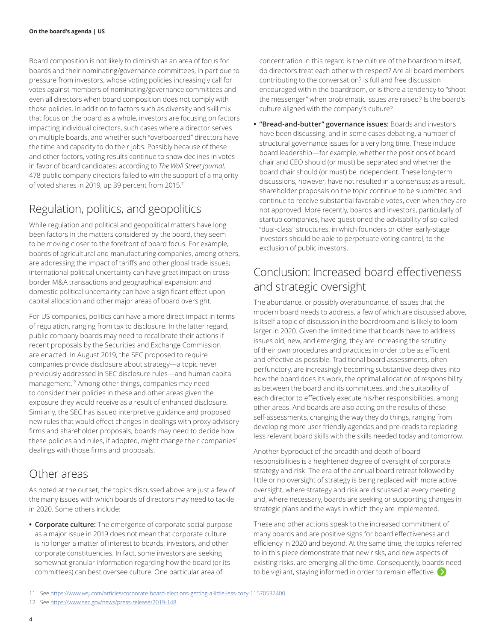<span id="page-3-0"></span>Board composition is not likely to diminish as an area of focus for boards and their nominating/governance committees, in part due to pressure from investors, whose voting policies increasingly call for votes against members of nominating/governance committees and even all directors when board composition does not comply with those policies. In addition to factors such as diversity and skill mix that focus on the board as a whole, investors are focusing on factors impacting individual directors, such cases where a director serves on multiple boards, and whether such "overboarded" directors have the time and capacity to do their jobs. Possibly because of these and other factors, voting results continue to show declines in votes in favor of board candidates; according to *The Wall Street Journal,* 478 public company directors failed to win the support of a majority of voted shares in 2019, up 39 percent from 2015.<sup>11</sup>

### Regulation, politics, and geopolitics

While regulation and political and geopolitical matters have long been factors in the matters considered by the board, they seem to be moving closer to the forefront of board focus. For example, boards of agricultural and manufacturing companies, among others, are addressing the impact of tariffs and other global trade issues; international political uncertainty can have great impact on crossborder M&A transactions and geographical expansion; and domestic political uncertainty can have a significant effect upon capital allocation and other major areas of board oversight.

For US companies, politics can have a more direct impact in terms of regulation, ranging from tax to disclosure. In the latter regard, public company boards may need to recalibrate their actions if recent proposals by the Securities and Exchange Commission are enacted. In August 2019, the SEC proposed to require companies provide disclosure about strategy―a topic never previously addressed in SEC disclosure rules―and human capital management.12 Among other things, companies may need to consider their policies in these and other areas given the exposure they would receive as a result of enhanced disclosure. Similarly, the SEC has issued interpretive guidance and proposed new rules that would effect changes in dealings with proxy advisory firms and shareholder proposals; boards may need to decide how these policies and rules, if adopted, might change their companies' dealings with those firms and proposals.

#### Other areas

As noted at the outset, the topics discussed above are just a few of the many issues with which boards of directors may need to tackle in 2020. Some others include:

**• Corporate culture:** The emergence of corporate social purpose as a major issue in 2019 does not mean that corporate culture is no longer a matter of interest to boards, investors, and other corporate constituencies. In fact, some investors are seeking somewhat granular information regarding how the board (or its committees) can best oversee culture. One particular area of

concentration in this regard is the culture of the boardroom itself; do directors treat each other with respect? Are all board members contributing to the conversation? Is full and free discussion encouraged within the boardroom, or is there a tendency to "shoot the messenger" when problematic issues are raised? Is the board's culture aligned with the company's culture?

**• "Bread-and-butter" governance issues:** Boards and investors have been discussing, and in some cases debating, a number of structural governance issues for a very long time. These include board leadership―for example, whether the positions of board chair and CEO should (or must) be separated and whether the board chair should (or must) be independent. These long-term discussions, however, have not resulted in a consensus; as a result, shareholder proposals on the topic continue to be submitted and continue to receive substantial favorable votes, even when they are not approved. More recently, boards and investors, particularly of startup companies, have questioned the advisability of so-called "dual-class" structures, in which founders or other early-stage investors should be able to perpetuate voting control, to the exclusion of public investors.

## Conclusion: Increased board effectiveness and strategic oversight

The abundance, or possibly overabundance, of issues that the modern board needs to address, a few of which are discussed above, is itself a topic of discussion in the boardroom and is likely to loom larger in 2020. Given the limited time that boards have to address issues old, new, and emerging, they are increasing the scrutiny of their own procedures and practices in order to be as efficient and effective as possible. Traditional board assessments, often perfunctory, are increasingly becoming substantive deep dives into how the board does its work, the optimal allocation of responsibility as between the board and its committees, and the suitability of each director to effectively execute his/her responsibilities, among other areas. And boards are also acting on the results of these self-assessments, changing the way they do things, ranging from developing more user-friendly agendas and pre-reads to replacing less relevant board skills with the skills needed today and tomorrow.

Another byproduct of the breadth and depth of board responsibilities is a heightened degree of oversight of corporate strategy and risk. The era of the annual board retreat followed by little or no oversight of strategy is being replaced with more active oversight, where strategy and risk are discussed at every meeting and, where necessary, boards are seeking or supporting changes in strategic plans and the ways in which they are implemented.

These and other actions speak to the increased commitment of many boards and are positive signs for board effectiveness and efficiency in 2020 and beyond. At the same time, the topics referred to in this piece demonstrate that new risks, and new aspects of existing risks, are emerging all the time. Consequently, boa[rds n](#page-4-0)eed to be vigilant, staying informed in order to remain effective.

- 11. See https://www.wsj.com/articles/corporate-board-elections-getting-a-little-less-cozy-11570532400.
- 12. See <https://www.sec.gov/news/press-release/2019-148>.